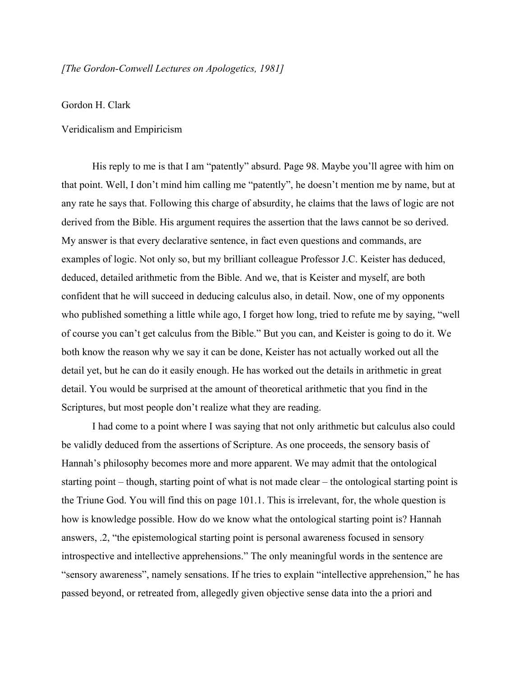## *[The GordonConwell Lectures on Apologetics, 1981]*

## Gordon H. Clark

## Veridicalism and Empiricism

His reply to me is that I am "patently" absurd. Page 98. Maybe you'll agree with him on that point. Well, I don't mind him calling me "patently", he doesn't mention me by name, but at any rate he says that. Following this charge of absurdity, he claims that the laws of logic are not derived from the Bible. His argument requires the assertion that the laws cannot be so derived. My answer is that every declarative sentence, in fact even questions and commands, are examples of logic. Not only so, but my brilliant colleague Professor J.C. Keister has deduced, deduced, detailed arithmetic from the Bible. And we, that is Keister and myself, are both confident that he will succeed in deducing calculus also, in detail. Now, one of my opponents who published something a little while ago, I forget how long, tried to refute me by saying, "well of course you can't get calculus from the Bible." But you can, and Keister is going to do it. We both know the reason why we say it can be done, Keister has not actually worked out all the detail yet, but he can do it easily enough. He has worked out the details in arithmetic in great detail. You would be surprised at the amount of theoretical arithmetic that you find in the Scriptures, but most people don't realize what they are reading.

I had come to a point where I was saying that not only arithmetic but calculus also could be validly deduced from the assertions of Scripture. As one proceeds, the sensory basis of Hannah's philosophy becomes more and more apparent. We may admit that the ontological starting point – though, starting point of what is not made clear – the ontological starting point is the Triune God. You will find this on page 101.1. This is irrelevant, for, the whole question is how is knowledge possible. How do we know what the ontological starting point is? Hannah answers, .2, "the epistemological starting point is personal awareness focused in sensory introspective and intellective apprehensions." The only meaningful words in the sentence are "sensory awareness", namely sensations. If he tries to explain "intellective apprehension," he has passed beyond, or retreated from, allegedly given objective sense data into the a priori and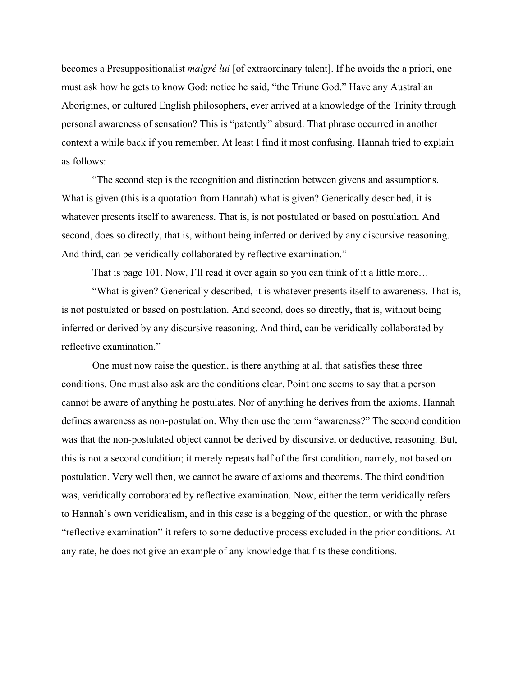becomes a Presuppositionalist *malgré lui* [of extraordinary talent]. If he avoids the a priori, one must ask how he gets to know God; notice he said, "the Triune God." Have any Australian Aborigines, or cultured English philosophers, ever arrived at a knowledge of the Trinity through personal awareness of sensation? This is "patently" absurd. That phrase occurred in another context a while back if you remember. At least I find it most confusing. Hannah tried to explain as follows:

"The second step is the recognition and distinction between givens and assumptions. What is given (this is a quotation from Hannah) what is given? Generically described, it is whatever presents itself to awareness. That is, is not postulated or based on postulation. And second, does so directly, that is, without being inferred or derived by any discursive reasoning. And third, can be veridically collaborated by reflective examination."

That is page 101. Now, I'll read it over again so you can think of it a little more...

"What is given? Generically described, it is whatever presents itself to awareness. That is, is not postulated or based on postulation. And second, does so directly, that is, without being inferred or derived by any discursive reasoning. And third, can be veridically collaborated by reflective examination."

One must now raise the question, is there anything at all that satisfies these three conditions. One must also ask are the conditions clear. Point one seems to say that a person cannot be aware of anything he postulates. Nor of anything he derives from the axioms. Hannah defines awareness as non-postulation. Why then use the term "awareness?" The second condition was that the non-postulated object cannot be derived by discursive, or deductive, reasoning. But, this is not a second condition; it merely repeats half of the first condition, namely, not based on postulation. Very well then, we cannot be aware of axioms and theorems. The third condition was, veridically corroborated by reflective examination. Now, either the term veridically refers to Hannah's own veridicalism, and in this case is a begging of the question, or with the phrase "reflective examination" it refers to some deductive process excluded in the prior conditions. At any rate, he does not give an example of any knowledge that fits these conditions.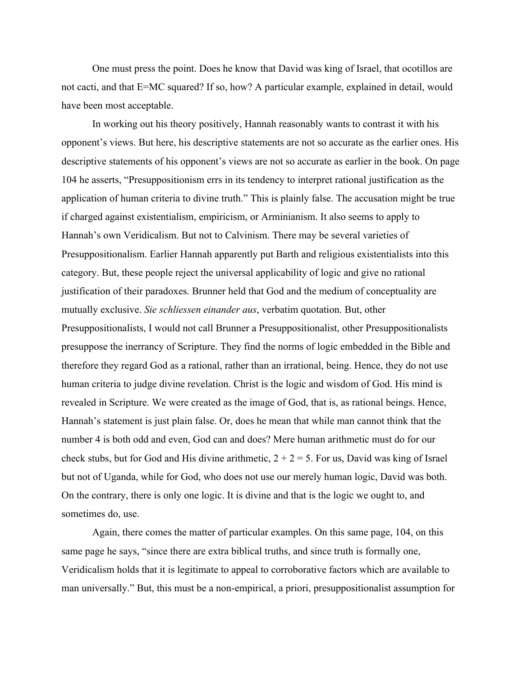One must press the point. Does he know that David was king of Israel, that ocotillos are not cacti, and that E=MC squared? If so, how? A particular example, explained in detail, would have been most acceptable.

In working out his theory positively, Hannah reasonably wants to contrast it with his opponent's views. But here, his descriptive statements are not so accurate as the earlier ones. His descriptive statements of his opponent's views are not so accurate as earlier in the book. On page 104 he asserts, "Presuppositionism errs in its tendency to interpret rational justification as the application of human criteria to divine truth." This is plainly false. The accusation might be true if charged against existentialism, empiricism, or Arminianism. It also seems to apply to Hannah's own Veridicalism. But not to Calvinism. There may be several varieties of Presuppositionalism. Earlier Hannah apparently put Barth and religious existentialists into this category. But, these people reject the universal applicability of logic and give no rational justification of their paradoxes. Brunner held that God and the medium of conceptuality are mutually exclusive. *Sie schliessen einander aus*, verbatim quotation. But, other Presuppositionalists, I would not call Brunner a Presuppositionalist, other Presuppositionalists presuppose the inerrancy of Scripture. They find the norms of logic embedded in the Bible and therefore they regard God as a rational, rather than an irrational, being. Hence, they do not use human criteria to judge divine revelation. Christ is the logic and wisdom of God. His mind is revealed in Scripture. We were created as the image of God, that is, as rational beings. Hence, Hannah's statement is just plain false. Or, does he mean that while man cannot think that the number 4 is both odd and even, God can and does? Mere human arithmetic must do for our check stubs, but for God and His divine arithmetic,  $2 + 2 = 5$ . For us, David was king of Israel but not of Uganda, while for God, who does not use our merely human logic, David was both. On the contrary, there is only one logic. It is divine and that is the logic we ought to, and sometimes do, use.

Again, there comes the matter of particular examples. On this same page, 104, on this same page he says, "since there are extra biblical truths, and since truth is formally one, Veridicalism holds that it is legitimate to appeal to corroborative factors which are available to man universally." But, this must be a non-empirical, a priori, presuppositionalist assumption for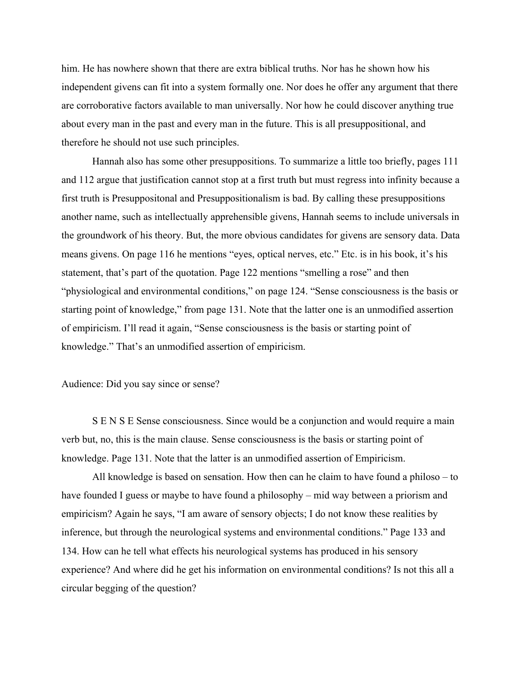him. He has nowhere shown that there are extra biblical truths. Nor has he shown how his independent givens can fit into a system formally one. Nor does he offer any argument that there are corroborative factors available to man universally. Nor how he could discover anything true about every man in the past and every man in the future. This is all presuppositional, and therefore he should not use such principles.

Hannah also has some other presuppositions. To summarize a little too briefly, pages 111 and 112 argue that justification cannot stop at a first truth but must regress into infinity because a first truth is Presuppositonal and Presuppositionalism is bad. By calling these presuppositions another name, such as intellectually apprehensible givens, Hannah seems to include universals in the groundwork of his theory. But, the more obvious candidates for givens are sensory data. Data means givens. On page 116 he mentions "eyes, optical nerves, etc." Etc. is in his book, it's his statement, that's part of the quotation. Page 122 mentions "smelling a rose" and then "physiological and environmental conditions," on page 124. "Sense consciousness is the basis or starting point of knowledge," from page 131. Note that the latter one is an unmodified assertion of empiricism. I'll read it again, "Sense consciousness is the basis or starting point of knowledge." That's an unmodified assertion of empiricism.

## Audience: Did you say since or sense?

S E N S E Sense consciousness. Since would be a conjunction and would require a main verb but, no, this is the main clause. Sense consciousness is the basis or starting point of knowledge. Page 131. Note that the latter is an unmodified assertion of Empiricism.

All knowledge is based on sensation. How then can he claim to have found a philoso – to have founded I guess or maybe to have found a philosophy – mid way between a priorism and empiricism? Again he says, "I am aware of sensory objects; I do not know these realities by inference, but through the neurological systems and environmental conditions." Page 133 and 134. How can he tell what effects his neurological systems has produced in his sensory experience? And where did he get his information on environmental conditions? Is not this all a circular begging of the question?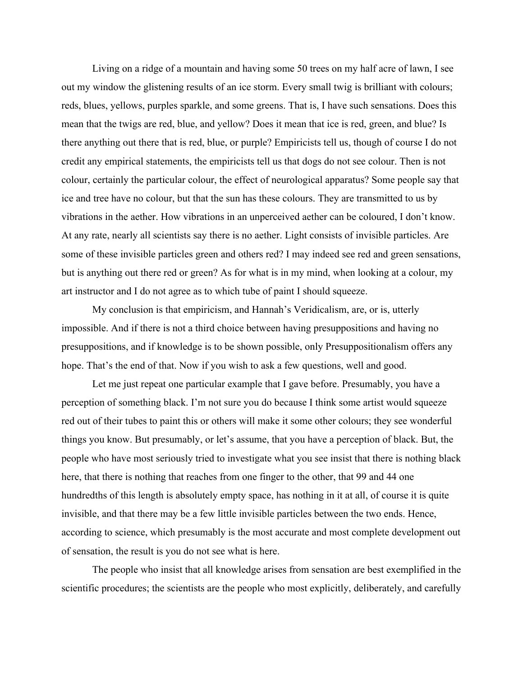Living on a ridge of a mountain and having some 50 trees on my half acre of lawn, I see out my window the glistening results of an ice storm. Every small twig is brilliant with colours; reds, blues, yellows, purples sparkle, and some greens. That is, I have such sensations. Does this mean that the twigs are red, blue, and yellow? Does it mean that ice is red, green, and blue? Is there anything out there that is red, blue, or purple? Empiricists tell us, though of course I do not credit any empirical statements, the empiricists tell us that dogs do not see colour. Then is not colour, certainly the particular colour, the effect of neurological apparatus? Some people say that ice and tree have no colour, but that the sun has these colours. They are transmitted to us by vibrations in the aether. How vibrations in an unperceived aether can be coloured, I don't know. At any rate, nearly all scientists say there is no aether. Light consists of invisible particles. Are some of these invisible particles green and others red? I may indeed see red and green sensations, but is anything out there red or green? As for what is in my mind, when looking at a colour, my art instructor and I do not agree as to which tube of paint I should squeeze.

My conclusion is that empiricism, and Hannah's Veridicalism, are, or is, utterly impossible. And if there is not a third choice between having presuppositions and having no presuppositions, and if knowledge is to be shown possible, only Presuppositionalism offers any hope. That's the end of that. Now if you wish to ask a few questions, well and good.

Let me just repeat one particular example that I gave before. Presumably, you have a perception of something black. I'm not sure you do because I think some artist would squeeze red out of their tubes to paint this or others will make it some other colours; they see wonderful things you know. But presumably, or let's assume, that you have a perception of black. But, the people who have most seriously tried to investigate what you see insist that there is nothing black here, that there is nothing that reaches from one finger to the other, that 99 and 44 one hundredths of this length is absolutely empty space, has nothing in it at all, of course it is quite invisible, and that there may be a few little invisible particles between the two ends. Hence, according to science, which presumably is the most accurate and most complete development out of sensation, the result is you do not see what is here.

The people who insist that all knowledge arises from sensation are best exemplified in the scientific procedures; the scientists are the people who most explicitly, deliberately, and carefully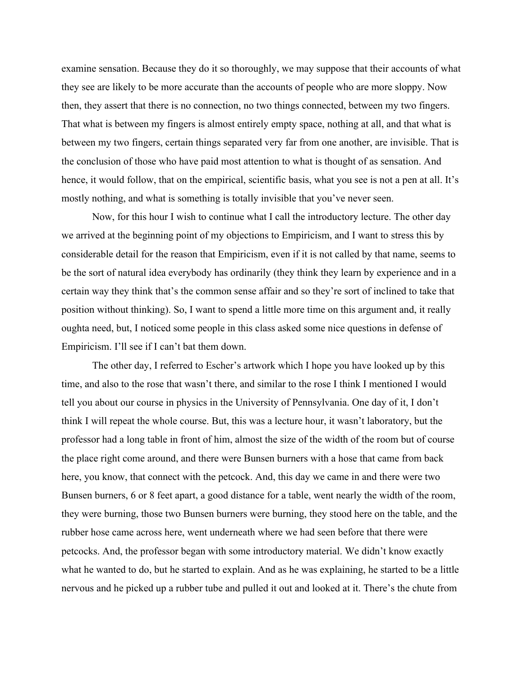examine sensation. Because they do it so thoroughly, we may suppose that their accounts of what they see are likely to be more accurate than the accounts of people who are more sloppy. Now then, they assert that there is no connection, no two things connected, between my two fingers. That what is between my fingers is almost entirely empty space, nothing at all, and that what is between my two fingers, certain things separated very far from one another, are invisible. That is the conclusion of those who have paid most attention to what is thought of as sensation. And hence, it would follow, that on the empirical, scientific basis, what you see is not a pen at all. It's mostly nothing, and what is something is totally invisible that you've never seen.

Now, for this hour I wish to continue what I call the introductory lecture. The other day we arrived at the beginning point of my objections to Empiricism, and I want to stress this by considerable detail for the reason that Empiricism, even if it is not called by that name, seems to be the sort of natural idea everybody has ordinarily (they think they learn by experience and in a certain way they think that's the common sense affair and so they're sort of inclined to take that position without thinking). So, I want to spend a little more time on this argument and, it really oughta need, but, I noticed some people in this class asked some nice questions in defense of Empiricism. I'll see if I can't bat them down.

The other day, I referred to Escher's artwork which I hope you have looked up by this time, and also to the rose that wasn't there, and similar to the rose I think I mentioned I would tell you about our course in physics in the University of Pennsylvania. One day of it, I don't think I will repeat the whole course. But, this was a lecture hour, it wasn't laboratory, but the professor had a long table in front of him, almost the size of the width of the room but of course the place right come around, and there were Bunsen burners with a hose that came from back here, you know, that connect with the petcock. And, this day we came in and there were two Bunsen burners, 6 or 8 feet apart, a good distance for a table, went nearly the width of the room, they were burning, those two Bunsen burners were burning, they stood here on the table, and the rubber hose came across here, went underneath where we had seen before that there were petcocks. And, the professor began with some introductory material. We didn't know exactly what he wanted to do, but he started to explain. And as he was explaining, he started to be a little nervous and he picked up a rubber tube and pulled it out and looked at it. There's the chute from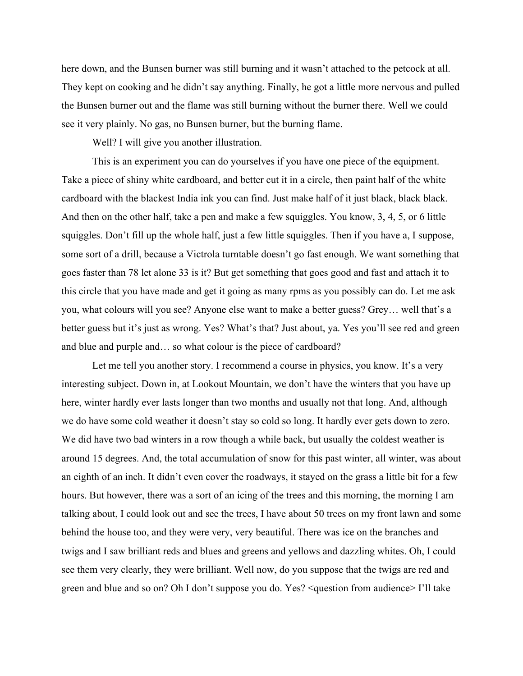here down, and the Bunsen burner was still burning and it wasn't attached to the petcock at all. They kept on cooking and he didn't say anything. Finally, he got a little more nervous and pulled the Bunsen burner out and the flame was still burning without the burner there. Well we could see it very plainly. No gas, no Bunsen burner, but the burning flame.

Well? I will give you another illustration.

This is an experiment you can do yourselves if you have one piece of the equipment. Take a piece of shiny white cardboard, and better cut it in a circle, then paint half of the white cardboard with the blackest India ink you can find. Just make half of it just black, black black. And then on the other half, take a pen and make a few squiggles. You know, 3, 4, 5, or 6 little squiggles. Don't fill up the whole half, just a few little squiggles. Then if you have a, I suppose, some sort of a drill, because a Victrola turntable doesn't go fast enough. We want something that goes faster than 78 let alone 33 is it? But get something that goes good and fast and attach it to this circle that you have made and get it going as many rpms as you possibly can do. Let me ask you, what colours will you see? Anyone else want to make a better guess? Grey… well that's a better guess but it's just as wrong. Yes? What's that? Just about, ya. Yes you'll see red and green and blue and purple and… so what colour is the piece of cardboard?

Let me tell you another story. I recommend a course in physics, you know. It's a very interesting subject. Down in, at Lookout Mountain, we don't have the winters that you have up here, winter hardly ever lasts longer than two months and usually not that long. And, although we do have some cold weather it doesn't stay so cold so long. It hardly ever gets down to zero. We did have two bad winters in a row though a while back, but usually the coldest weather is around 15 degrees. And, the total accumulation of snow for this past winter, all winter, was about an eighth of an inch. It didn't even cover the roadways, it stayed on the grass a little bit for a few hours. But however, there was a sort of an icing of the trees and this morning, the morning I am talking about, I could look out and see the trees, I have about 50 trees on my front lawn and some behind the house too, and they were very, very beautiful. There was ice on the branches and twigs and I saw brilliant reds and blues and greens and yellows and dazzling whites. Oh, I could see them very clearly, they were brilliant. Well now, do you suppose that the twigs are red and green and blue and so on? Oh I don't suppose you do. Yes? <question from audience> I'll take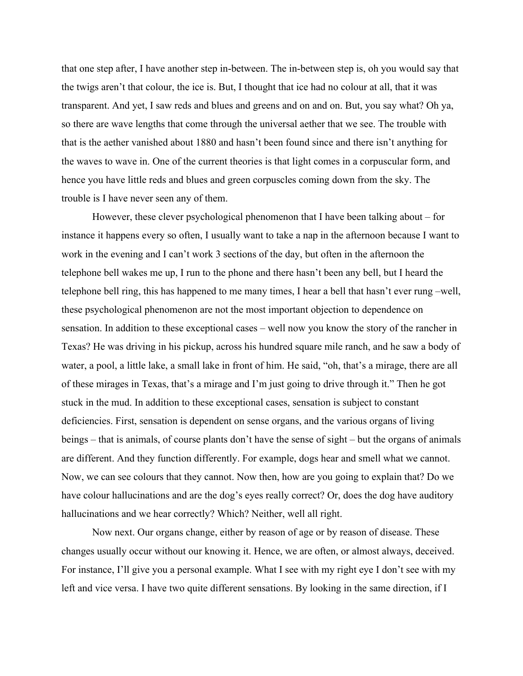that one step after, I have another step in-between. The in-between step is, oh you would say that the twigs aren't that colour, the ice is. But, I thought that ice had no colour at all, that it was transparent. And yet, I saw reds and blues and greens and on and on. But, you say what? Oh ya, so there are wave lengths that come through the universal aether that we see. The trouble with that is the aether vanished about 1880 and hasn't been found since and there isn't anything for the waves to wave in. One of the current theories is that light comes in a corpuscular form, and hence you have little reds and blues and green corpuscles coming down from the sky. The trouble is I have never seen any of them.

However, these clever psychological phenomenon that I have been talking about – for instance it happens every so often, I usually want to take a nap in the afternoon because I want to work in the evening and I can't work 3 sections of the day, but often in the afternoon the telephone bell wakes me up, I run to the phone and there hasn't been any bell, but I heard the telephone bell ring, this has happened to me many times, I hear a bell that hasn't ever rung –well, these psychological phenomenon are not the most important objection to dependence on sensation. In addition to these exceptional cases – well now you know the story of the rancher in Texas? He was driving in his pickup, across his hundred square mile ranch, and he saw a body of water, a pool, a little lake, a small lake in front of him. He said, "oh, that's a mirage, there are all of these mirages in Texas, that's a mirage and I'm just going to drive through it." Then he got stuck in the mud. In addition to these exceptional cases, sensation is subject to constant deficiencies. First, sensation is dependent on sense organs, and the various organs of living beings – that is animals, of course plants don't have the sense of sight – but the organs of animals are different. And they function differently. For example, dogs hear and smell what we cannot. Now, we can see colours that they cannot. Now then, how are you going to explain that? Do we have colour hallucinations and are the dog's eyes really correct? Or, does the dog have auditory hallucinations and we hear correctly? Which? Neither, well all right.

Now next. Our organs change, either by reason of age or by reason of disease. These changes usually occur without our knowing it. Hence, we are often, or almost always, deceived. For instance, I'll give you a personal example. What I see with my right eye I don't see with my left and vice versa. I have two quite different sensations. By looking in the same direction, if I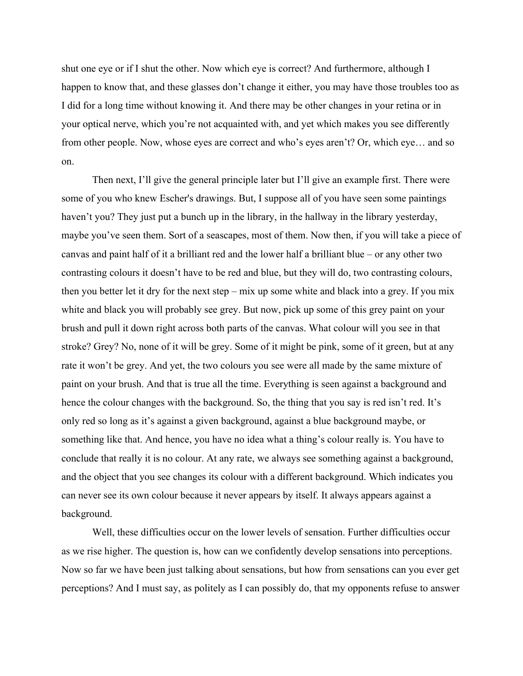shut one eye or if I shut the other. Now which eye is correct? And furthermore, although I happen to know that, and these glasses don't change it either, you may have those troubles too as I did for a long time without knowing it. And there may be other changes in your retina or in your optical nerve, which you're not acquainted with, and yet which makes you see differently from other people. Now, whose eyes are correct and who's eyes aren't? Or, which eye… and so on.

Then next, I'll give the general principle later but I'll give an example first. There were some of you who knew Escher's drawings. But, I suppose all of you have seen some paintings haven't you? They just put a bunch up in the library, in the hallway in the library yesterday, maybe you've seen them. Sort of a seascapes, most of them. Now then, if you will take a piece of canvas and paint half of it a brilliant red and the lower half a brilliant blue – or any other two contrasting colours it doesn't have to be red and blue, but they will do, two contrasting colours, then you better let it dry for the next step – mix up some white and black into a grey. If you mix white and black you will probably see grey. But now, pick up some of this grey paint on your brush and pull it down right across both parts of the canvas. What colour will you see in that stroke? Grey? No, none of it will be grey. Some of it might be pink, some of it green, but at any rate it won't be grey. And yet, the two colours you see were all made by the same mixture of paint on your brush. And that is true all the time. Everything is seen against a background and hence the colour changes with the background. So, the thing that you say is red isn't red. It's only red so long as it's against a given background, against a blue background maybe, or something like that. And hence, you have no idea what a thing's colour really is. You have to conclude that really it is no colour. At any rate, we always see something against a background, and the object that you see changes its colour with a different background. Which indicates you can never see its own colour because it never appears by itself. It always appears against a background.

Well, these difficulties occur on the lower levels of sensation. Further difficulties occur as we rise higher. The question is, how can we confidently develop sensations into perceptions. Now so far we have been just talking about sensations, but how from sensations can you ever get perceptions? And I must say, as politely as I can possibly do, that my opponents refuse to answer